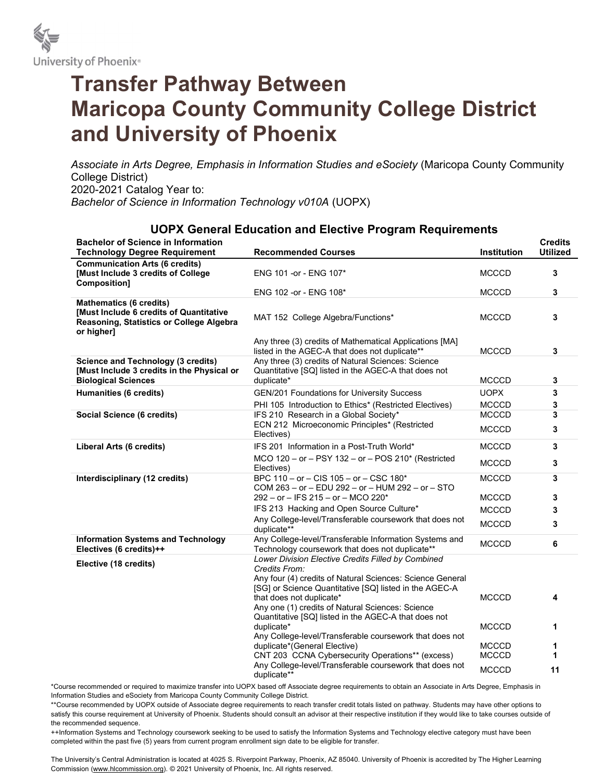

## Transfer Pathway Between Maricopa County Community College District and University of Phoenix

Associate in Arts Degree, Emphasis in Information Studies and eSociety (Maricopa County Community College District) 2020-2021 Catalog Year to: Bachelor of Science in Information Technology v010A (UOPX)

## UOPX General Education and Elective Program Requirements

| <b>Bachelor of Science in Information</b><br><b>Technology Degree Requirement</b>                                                   | <b>Recommended Courses</b>                                                                                                                                                                 | <b>Institution</b> | <b>Credits</b><br><b>Utilized</b> |
|-------------------------------------------------------------------------------------------------------------------------------------|--------------------------------------------------------------------------------------------------------------------------------------------------------------------------------------------|--------------------|-----------------------------------|
| <b>Communication Arts (6 credits)</b><br>[Must Include 3 credits of College<br>Composition]                                         | ENG 101 -or - ENG 107*                                                                                                                                                                     | <b>MCCCD</b>       | 3                                 |
|                                                                                                                                     | ENG 102 -or - ENG 108*                                                                                                                                                                     | <b>MCCCD</b>       | 3                                 |
| <b>Mathematics (6 credits)</b><br>[Must Include 6 credits of Quantitative<br>Reasoning, Statistics or College Algebra<br>or higher] | MAT 152 College Algebra/Functions*                                                                                                                                                         | <b>MCCCD</b>       | 3                                 |
|                                                                                                                                     | Any three (3) credits of Mathematical Applications [MA]<br>listed in the AGEC-A that does not duplicate**                                                                                  | <b>MCCCD</b>       | 3                                 |
| <b>Science and Technology (3 credits)</b><br>[Must Include 3 credits in the Physical or<br><b>Biological Sciences</b>               | Any three (3) credits of Natural Sciences: Science<br>Quantitative [SQ] listed in the AGEC-A that does not<br>duplicate*                                                                   | <b>MCCCD</b>       | 3                                 |
| Humanities (6 credits)                                                                                                              | GEN/201 Foundations for University Success                                                                                                                                                 | <b>UOPX</b>        | 3                                 |
|                                                                                                                                     | PHI 105 Introduction to Ethics* (Restricted Electives)                                                                                                                                     | <b>MCCCD</b>       | 3                                 |
| Social Science (6 credits)                                                                                                          | IFS 210 Research in a Global Society*                                                                                                                                                      | <b>MCCCD</b>       | 3                                 |
|                                                                                                                                     | ECN 212 Microeconomic Principles* (Restricted<br>Electives)                                                                                                                                | <b>MCCCD</b>       | 3                                 |
| Liberal Arts (6 credits)                                                                                                            | IFS 201 Information in a Post-Truth World*                                                                                                                                                 | <b>MCCCD</b>       | 3                                 |
|                                                                                                                                     | MCO 120 - or - PSY 132 - or - POS 210* (Restricted<br>Electives)                                                                                                                           | <b>MCCCD</b>       | 3                                 |
| Interdisciplinary (12 credits)                                                                                                      | BPC 110 - or - CIS 105 - or - CSC 180*<br>COM 263 - or - EDU 292 - or - HUM 292 - or - STO                                                                                                 | <b>MCCCD</b>       | 3                                 |
|                                                                                                                                     | 292 - or - IFS 215 - or - MCO 220*                                                                                                                                                         | <b>MCCCD</b>       | 3                                 |
|                                                                                                                                     | IFS 213 Hacking and Open Source Culture*                                                                                                                                                   | <b>MCCCD</b>       | 3                                 |
|                                                                                                                                     | Any College-level/Transferable coursework that does not<br>duplicate**                                                                                                                     | <b>MCCCD</b>       | 3                                 |
| <b>Information Systems and Technology</b><br>Electives (6 credits)++                                                                | Any College-level/Transferable Information Systems and<br>Technology coursework that does not duplicate**                                                                                  | <b>MCCCD</b>       | 6                                 |
| Elective (18 credits)                                                                                                               | Lower Division Elective Credits Filled by Combined<br>Credits From:<br>Any four (4) credits of Natural Sciences: Science General<br>[SG] or Science Quantitative [SQ] listed in the AGEC-A |                    |                                   |
|                                                                                                                                     | that does not duplicate*<br>Any one (1) credits of Natural Sciences: Science<br>Quantitative [SQ] listed in the AGEC-A that does not                                                       | <b>MCCCD</b>       | 4                                 |
|                                                                                                                                     | duplicate*<br>Any College-level/Transferable coursework that does not                                                                                                                      | <b>MCCCD</b>       | 1                                 |
|                                                                                                                                     | duplicate*(General Elective)                                                                                                                                                               | <b>MCCCD</b>       | 1                                 |
|                                                                                                                                     | CNT 203 CCNA Cybersecurity Operations** (excess)                                                                                                                                           | <b>MCCCD</b>       | 1                                 |
|                                                                                                                                     | Any College-level/Transferable coursework that does not<br>duplicate**                                                                                                                     | <b>MCCCD</b>       | 11                                |

\*Course recommended or required to maximize transfer into UOPX based off Associate degree requirements to obtain an Associate in Arts Degree, Emphasis in Information Studies and eSociety from Maricopa County Community College District.

\*\*Course recommended by UOPX outside of Associate degree requirements to reach transfer credit totals listed on pathway. Students may have other options to satisfy this course requirement at University of Phoenix. Students should consult an advisor at their respective institution if they would like to take courses outside of the recommended sequence.

++Information Systems and Technology coursework seeking to be used to satisfy the Information Systems and Technology elective category must have been completed within the past five (5) years from current program enrollment sign date to be eligible for transfer.

The University's Central Administration is located at 4025 S. Riverpoint Parkway, Phoenix, AZ 85040. University of Phoenix is accredited by The Higher Learning Commission (www.hlcommission.org). © 2021 University of Phoenix, Inc. All rights reserved.